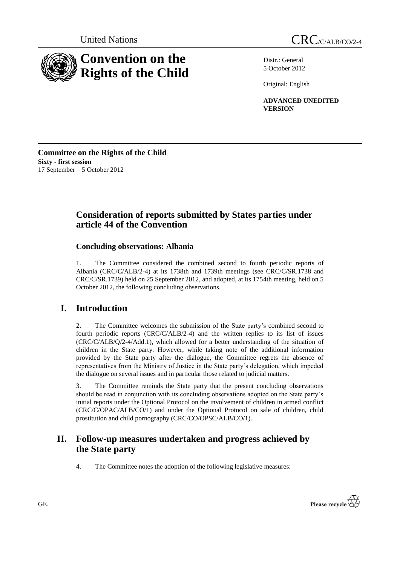

Distr.: General 5 October 2012

Original: English

**ADVANCED UNEDITED VERSION**

**Committee on the Rights of the Child Sixty - first session** 17 September – 5 October 2012

# **Consideration of reports submitted by States parties under article 44 of the Convention**

# **Concluding observations: Albania**

1. The Committee considered the combined second to fourth periodic reports of Albania (CRC/C/ALB/2-4) at its 1738th and 1739th meetings (see CRC/C/SR.1738 and CRC/C/SR.1739) held on 25 September 2012, and adopted, at its 1754th meeting, held on 5 October 2012, the following concluding observations.

# **I. Introduction**

2. The Committee welcomes the submission of the State party"s combined second to fourth periodic reports (CRC/C/ALB/2-4) and the written replies to its list of issues (CRC/C/ALB/Q/2-4/Add.1), which allowed for a better understanding of the situation of children in the State party. However, while taking note of the additional information provided by the State party after the dialogue, the Committee regrets the absence of representatives from the Ministry of Justice in the State party"s delegation, which impeded the dialogue on several issues and in particular those related to judicial matters.

3. The Committee reminds the State party that the present concluding observations should be read in conjunction with its concluding observations adopted on the State party"s initial reports under the Optional Protocol on the involvement of children in armed conflict (CRC/C/OPAC/ALB/CO/1) and under the Optional Protocol on sale of children, child prostitution and child pornography (CRC/CO/OPSC/ALB/CO/1).

# **II. Follow-up measures undertaken and progress achieved by the State party**

4. The Committee notes the adoption of the following legislative measures:

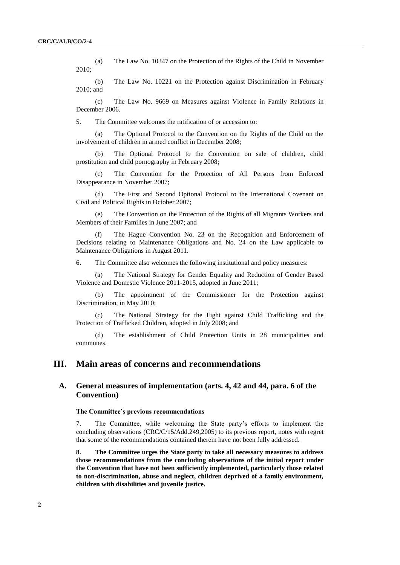(a) The Law No. 10347 on the Protection of the Rights of the Child in November 2010;

(b) The Law No. 10221 on the Protection against Discrimination in February 2010; and

(c) The Law No. 9669 on Measures against Violence in Family Relations in December 2006.

5. The Committee welcomes the ratification of or accession to:

The Optional Protocol to the Convention on the Rights of the Child on the involvement of children in armed conflict in December 2008;

(b) The Optional Protocol to the Convention on sale of children, child prostitution and child pornography in February 2008;

(c) The Convention for the Protection of All Persons from Enforced Disappearance in November 2007;

(d) The First and Second Optional Protocol to the International Covenant on Civil and Political Rights in October 2007;

(e) The Convention on the Protection of the Rights of all Migrants Workers and Members of their Families in June 2007; and

(f) The Hague Convention No. 23 on the Recognition and Enforcement of Decisions relating to Maintenance Obligations and No. 24 on the Law applicable to Maintenance Obligations in August 2011.

6. The Committee also welcomes the following institutional and policy measures:

(a) The National Strategy for Gender Equality and Reduction of Gender Based Violence and Domestic Violence 2011-2015, adopted in June 2011;

(b) The appointment of the Commissioner for the Protection against Discrimination, in May 2010;

(c) The National Strategy for the Fight against Child Trafficking and the Protection of Trafficked Children, adopted in July 2008; and

(d) The establishment of Child Protection Units in 28 municipalities and communes.

# **III. Main areas of concerns and recommendations**

# **A. General measures of implementation (arts. 4, 42 and 44, para. 6 of the Convention)**

#### **The Committee"s previous recommendations**

7. The Committee, while welcoming the State party"s efforts to implement the concluding observations (CRC/C/15/Add.249,2005) to its previous report, notes with regret that some of the recommendations contained therein have not been fully addressed.

**8. The Committee urges the State party to take all necessary measures to address those recommendations from the concluding observations of the initial report under the Convention that have not been sufficiently implemented, particularly those related to non-discrimination, abuse and neglect, children deprived of a family environment, children with disabilities and juvenile justice.**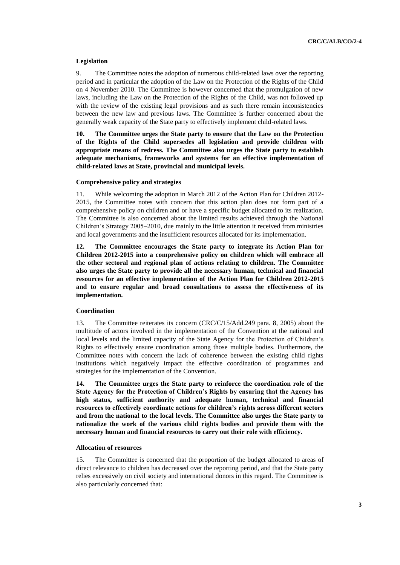# **Legislation**

9. The Committee notes the adoption of numerous child-related laws over the reporting period and in particular the adoption of the Law on the Protection of the Rights of the Child on 4 November 2010. The Committee is however concerned that the promulgation of new laws, including the Law on the Protection of the Rights of the Child, was not followed up with the review of the existing legal provisions and as such there remain inconsistencies between the new law and previous laws. The Committee is further concerned about the generally weak capacity of the State party to effectively implement child-related laws.

**10. The Committee urges the State party to ensure that the Law on the Protection of the Rights of the Child supersedes all legislation and provide children with appropriate means of redress. The Committee also urges the State party to establish adequate mechanisms, frameworks and systems for an effective implementation of child-related laws at State, provincial and municipal levels.**

#### **Comprehensive policy and strategies**

11. While welcoming the adoption in March 2012 of the Action Plan for Children 2012- 2015, the Committee notes with concern that this action plan does not form part of a comprehensive policy on children and or have a specific budget allocated to its realization. The Committee is also concerned about the limited results achieved through the National Children"s Strategy 2005–2010, due mainly to the little attention it received from ministries and local governments and the insufficient resources allocated for its implementation.

**12. The Committee encourages the State party to integrate its Action Plan for Children 2012-2015 into a comprehensive policy on children which will embrace all the other sectoral and regional plan of actions relating to children. The Committee also urges the State party to provide all the necessary human, technical and financial resources for an effective implementation of the Action Plan for Children 2012-2015 and to ensure regular and broad consultations to assess the effectiveness of its implementation.**

## **Coordination**

13. The Committee reiterates its concern (CRC/C/15/Add.249 para. 8, 2005) about the multitude of actors involved in the implementation of the Convention at the national and local levels and the limited capacity of the State Agency for the Protection of Children"s Rights to effectively ensure coordination among those multiple bodies. Furthermore, the Committee notes with concern the lack of coherence between the existing child rights institutions which negatively impact the effective coordination of programmes and strategies for the implementation of the Convention.

**14. The Committee urges the State party to reinforce the coordination role of the State Agency for the Protection of Children"s Rights by ensuring that the Agency has high status, sufficient authority and adequate human, technical and financial resources to effectively coordinate actions for children"s rights across different sectors and from the national to the local levels. The Committee also urges the State party to rationalize the work of the various child rights bodies and provide them with the necessary human and financial resources to carry out their role with efficiency.**

# **Allocation of resources**

15. The Committee is concerned that the proportion of the budget allocated to areas of direct relevance to children has decreased over the reporting period, and that the State party relies excessively on civil society and international donors in this regard. The Committee is also particularly concerned that: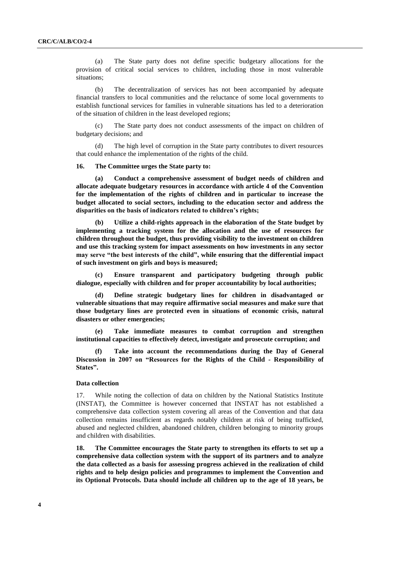(a) The State party does not define specific budgetary allocations for the provision of critical social services to children, including those in most vulnerable situations;

(b) The decentralization of services has not been accompanied by adequate financial transfers to local communities and the reluctance of some local governments to establish functional services for families in vulnerable situations has led to a deterioration of the situation of children in the least developed regions;

(c) The State party does not conduct assessments of the impact on children of budgetary decisions; and

(d) The high level of corruption in the State party contributes to divert resources that could enhance the implementation of the rights of the child.

#### **16. The Committee urges the State party to:**

**(a) Conduct a comprehensive assessment of budget needs of children and allocate adequate budgetary resources in accordance with article 4 of the Convention for the implementation of the rights of children and in particular to increase the budget allocated to social sectors, including to the education sector and address the disparities on the basis of indicators related to children"s rights;** 

**(b) Utilize a child-rights approach in the elaboration of the State budget by implementing a tracking system for the allocation and the use of resources for children throughout the budget, thus providing visibility to the investment on children and use this tracking system for impact assessments on how investments in any sector may serve "the best interests of the child", while ensuring that the differential impact of such investment on girls and boys is measured;** 

**(c) Ensure transparent and participatory budgeting through public dialogue, especially with children and for proper accountability by local authorities;** 

**(d) Define strategic budgetary lines for children in disadvantaged or vulnerable situations that may require affirmative social measures and make sure that those budgetary lines are protected even in situations of economic crisis, natural disasters or other emergencies;**

**(e) Take immediate measures to combat corruption and strengthen institutional capacities to effectively detect, investigate and prosecute corruption; and** 

**(f) Take into account the recommendations during the Day of General Discussion in 2007 on "Resources for the Rights of the Child - Responsibility of States".**

#### **Data collection**

17. While noting the collection of data on children by the National Statistics Institute (INSTAT), the Committee is however concerned that INSTAT has not established a comprehensive data collection system covering all areas of the Convention and that data collection remains insufficient as regards notably children at risk of being trafficked, abused and neglected children, abandoned children, children belonging to minority groups and children with disabilities.

**18. The Committee encourages the State party to strengthen its efforts to set up a comprehensive data collection system with the support of its partners and to analyze the data collected as a basis for assessing progress achieved in the realization of child rights and to help design policies and programmes to implement the Convention and its Optional Protocols. Data should include all children up to the age of 18 years, be**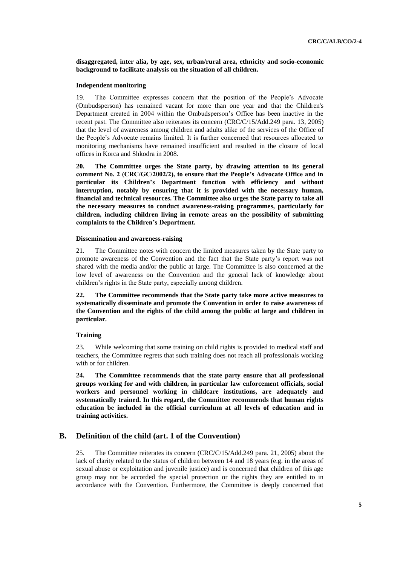**disaggregated, inter alia, by age, sex, urban/rural area, ethnicity and socio-economic background to facilitate analysis on the situation of all children.** 

#### **Independent monitoring**

19. The Committee expresses concern that the position of the People"s Advocate (Ombudsperson) has remained vacant for more than one year and that the Children's Department created in 2004 within the Ombudsperson"s Office has been inactive in the recent past. The Committee also reiterates its concern (CRC/C/15/Add.249 para. 13, 2005) that the level of awareness among children and adults alike of the services of the Office of the People"s Advocate remains limited. It is further concerned that resources allocated to monitoring mechanisms have remained insufficient and resulted in the closure of local offices in Korca and Shkodra in 2008.

**20. The Committee urges the State party, by drawing attention to its general comment No. 2 (CRC/GC/2002/2), to ensure that the People"s Advocate Office and in particular its Children"s Department function with efficiency and without interruption, notably by ensuring that it is provided with the necessary human, financial and technical resources. The Committee also urges the State party to take all the necessary measures to conduct awareness-raising programmes, particularly for children, including children living in remote areas on the possibility of submitting complaints to the Children"s Department.**

#### **Dissemination and awareness-raising**

21. The Committee notes with concern the limited measures taken by the State party to promote awareness of the Convention and the fact that the State party"s report was not shared with the media and/or the public at large. The Committee is also concerned at the low level of awareness on the Convention and the general lack of knowledge about children"s rights in the State party, especially among children.

**22. The Committee recommends that the State party take more active measures to systematically disseminate and promote the Convention in order to raise awareness of the Convention and the rights of the child among the public at large and children in particular.**

# **Training**

23. While welcoming that some training on child rights is provided to medical staff and teachers, the Committee regrets that such training does not reach all professionals working with or for children.

**24. The Committee recommends that the state party ensure that all professional groups working for and with children, in particular law enforcement officials, social workers and personnel working in childcare institutions, are adequately and systematically trained. In this regard, the Committee recommends that human rights education be included in the official curriculum at all levels of education and in training activities.** 

# **B. Definition of the child (art. 1 of the Convention)**

25. The Committee reiterates its concern (CRC/C/15/Add.249 para. 21, 2005) about the lack of clarity related to the status of children between 14 and 18 years (e.g. in the areas of sexual abuse or exploitation and juvenile justice) and is concerned that children of this age group may not be accorded the special protection or the rights they are entitled to in accordance with the Convention. Furthermore, the Committee is deeply concerned that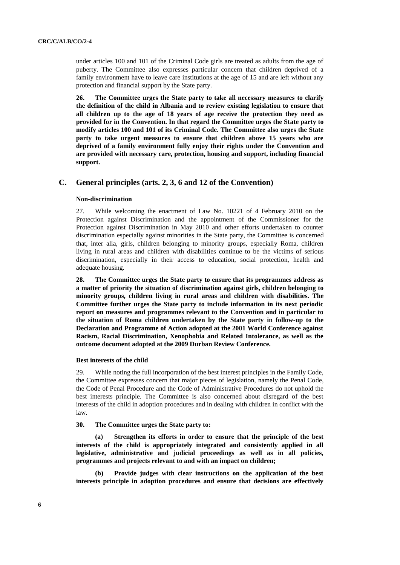under articles 100 and 101 of the Criminal Code girls are treated as adults from the age of puberty. The Committee also expresses particular concern that children deprived of a family environment have to leave care institutions at the age of 15 and are left without any protection and financial support by the State party.

**26. The Committee urges the State party to take all necessary measures to clarify the definition of the child in Albania and to review existing legislation to ensure that all children up to the age of 18 years of age receive the protection they need as provided for in the Convention. In that regard the Committee urges the State party to modify articles 100 and 101 of its Criminal Code. The Committee also urges the State party to take urgent measures to ensure that children above 15 years who are deprived of a family environment fully enjoy their rights under the Convention and are provided with necessary care, protection, housing and support, including financial support.**

# **C. General principles (arts. 2, 3, 6 and 12 of the Convention)**

#### **Non-discrimination**

27. While welcoming the enactment of Law No. 10221 of 4 February 2010 on the Protection against Discrimination and the appointment of the Commissioner for the Protection against Discrimination in May 2010 and other efforts undertaken to counter discrimination especially against minorities in the State party, the Committee is concerned that, inter alia, girls, children belonging to minority groups, especially Roma, children living in rural areas and children with disabilities continue to be the victims of serious discrimination, especially in their access to education, social protection, health and adequate housing.

**28. The Committee urges the State party to ensure that its programmes address as a matter of priority the situation of discrimination against girls, children belonging to minority groups, children living in rural areas and children with disabilities. The Committee further urges the State party to include information in its next periodic report on measures and programmes relevant to the Convention and in particular to the situation of Roma children undertaken by the State party in follow-up to the Declaration and Programme of Action adopted at the 2001 World Conference against Racism, Racial Discrimination, Xenophobia and Related Intolerance, as well as the outcome document adopted at the 2009 Durban Review Conference.**

#### **Best interests of the child**

29. While noting the full incorporation of the best interest principles in the Family Code, the Committee expresses concern that major pieces of legislation, namely the Penal Code, the Code of Penal Procedure and the Code of Administrative Procedures do not uphold the best interests principle. The Committee is also concerned about disregard of the best interests of the child in adoption procedures and in dealing with children in conflict with the law.

# **30. The Committee urges the State party to:**

**(a) Strengthen its efforts in order to ensure that the principle of the best interests of the child is appropriately integrated and consistently applied in all legislative, administrative and judicial proceedings as well as in all policies, programmes and projects relevant to and with an impact on children;**

**(b) Provide judges with clear instructions on the application of the best interests principle in adoption procedures and ensure that decisions are effectively**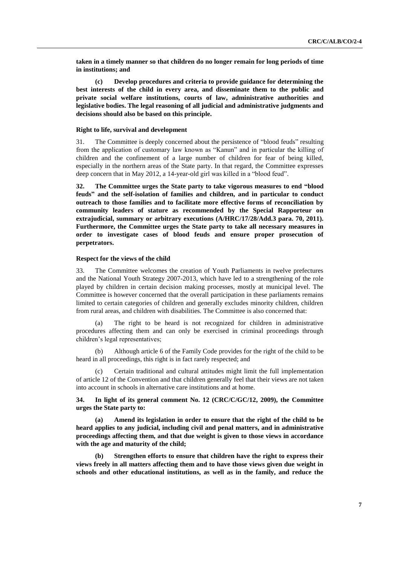**taken in a timely manner so that children do no longer remain for long periods of time in institutions; and**

**(c) Develop procedures and criteria to provide guidance for determining the best interests of the child in every area, and disseminate them to the public and private social welfare institutions, courts of law, administrative authorities and legislative bodies. The legal reasoning of all judicial and administrative judgments and decisions should also be based on this principle.**

## **Right to life, survival and development**

31. The Committee is deeply concerned about the persistence of "blood feuds" resulting from the application of customary law known as "Kanun" and in particular the killing of children and the confinement of a large number of children for fear of being killed, especially in the northern areas of the State party. In that regard, the Committee expresses deep concern that in May 2012, a 14-year-old girl was killed in a "blood feud".

**32. The Committee urges the State party to take vigorous measures to end "blood feuds" and the self-isolation of families and children, and in particular to conduct outreach to those families and to facilitate more effective forms of reconciliation by community leaders of stature as recommended by the Special Rapporteur on extrajudicial, summary or arbitrary executions (A/HRC/17/28/Add.3 para. 70, 2011). Furthermore, the Committee urges the State party to take all necessary measures in order to investigate cases of blood feuds and ensure proper prosecution of perpetrators.** 

#### **Respect for the views of the child**

33. The Committee welcomes the creation of Youth Parliaments in twelve prefectures and the National Youth Strategy 2007-2013, which have led to a strengthening of the role played by children in certain decision making processes, mostly at municipal level. The Committee is however concerned that the overall participation in these parliaments remains limited to certain categories of children and generally excludes minority children, children from rural areas, and children with disabilities. The Committee is also concerned that:

(a) The right to be heard is not recognized for children in administrative procedures affecting them and can only be exercised in criminal proceedings through children"s legal representatives;

(b) Although article 6 of the Family Code provides for the right of the child to be heard in all proceedings, this right is in fact rarely respected; and

Certain traditional and cultural attitudes might limit the full implementation of article 12 of the Convention and that children generally feel that their views are not taken into account in schools in alternative care institutions and at home.

**34. In light of its general comment No. 12 (CRC/C/GC/12, 2009), the Committee urges the State party to:**

**(a) Amend its legislation in order to ensure that the right of the child to be heard applies to any judicial, including civil and penal matters, and in administrative proceedings affecting them, and that due weight is given to those views in accordance with the age and maturity of the child;**

**(b) Strengthen efforts to ensure that children have the right to express their views freely in all matters affecting them and to have those views given due weight in schools and other educational institutions, as well as in the family, and reduce the**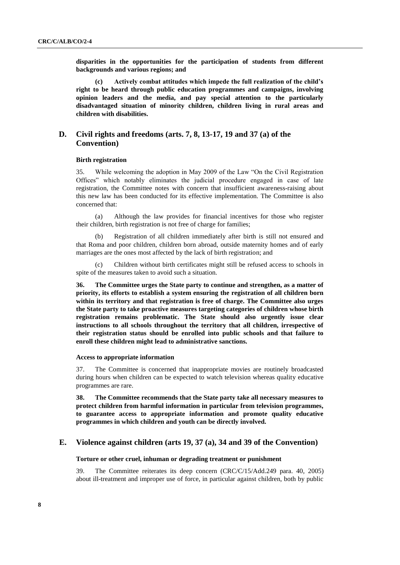**disparities in the opportunities for the participation of students from different backgrounds and various regions; and**

**(c) Actively combat attitudes which impede the full realization of the child"s right to be heard through public education programmes and campaigns, involving opinion leaders and the media, and pay special attention to the particularly disadvantaged situation of minority children, children living in rural areas and children with disabilities.**

# **D. Civil rights and freedoms (arts. 7, 8, 13-17, 19 and 37 (a) of the Convention)**

## **Birth registration**

35. While welcoming the adoption in May 2009 of the Law "On the Civil Registration Offices" which notably eliminates the judicial procedure engaged in case of late registration, the Committee notes with concern that insufficient awareness-raising about this new law has been conducted for its effective implementation. The Committee is also concerned that:

(a) Although the law provides for financial incentives for those who register their children, birth registration is not free of charge for families;

Registration of all children immediately after birth is still not ensured and that Roma and poor children, children born abroad, outside maternity homes and of early marriages are the ones most affected by the lack of birth registration; and

(c) Children without birth certificates might still be refused access to schools in spite of the measures taken to avoid such a situation.

**36. The Committee urges the State party to continue and strengthen, as a matter of priority, its efforts to establish a system ensuring the registration of all children born within its territory and that registration is free of charge. The Committee also urges the State party to take proactive measures targeting categories of children whose birth registration remains problematic. The State should also urgently issue clear instructions to all schools throughout the territory that all children, irrespective of their registration status should be enrolled into public schools and that failure to enroll these children might lead to administrative sanctions.** 

## **Access to appropriate information**

37. The Committee is concerned that inappropriate movies are routinely broadcasted during hours when children can be expected to watch television whereas quality educative programmes are rare.

**38. The Committee recommends that the State party take all necessary measures to protect children from harmful information in particular from television programmes, to guarantee access to appropriate information and promote quality educative programmes in which children and youth can be directly involved.** 

# **E. Violence against children (arts 19, 37 (a), 34 and 39 of the Convention)**

## **Torture or other cruel, inhuman or degrading treatment or punishment**

39. The Committee reiterates its deep concern (CRC/C/15/Add.249 para. 40, 2005) about ill-treatment and improper use of force, in particular against children, both by public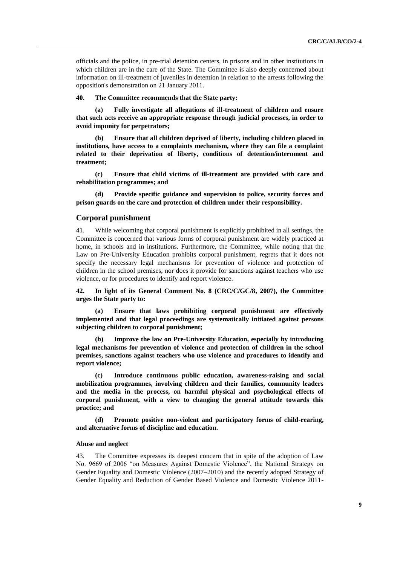officials and the police, in pre-trial detention centers, in prisons and in other institutions in which children are in the care of the State. The Committee is also deeply concerned about information on ill-treatment of juveniles in detention in relation to the arrests following the opposition's demonstration on 21 January 2011.

## **40. The Committee recommends that the State party:**

**(a) Fully investigate all allegations of ill-treatment of children and ensure that such acts receive an appropriate response through judicial processes, in order to avoid impunity for perpetrators;**

**(b) Ensure that all children deprived of liberty, including children placed in institutions, have access to a complaints mechanism, where they can file a complaint related to their deprivation of liberty, conditions of detention/internment and treatment;**

**(c) Ensure that child victims of ill-treatment are provided with care and rehabilitation programmes; and**

**(d) Provide specific guidance and supervision to police, security forces and prison guards on the care and protection of children under their responsibility.**

# **Corporal punishment**

41. While welcoming that corporal punishment is explicitly prohibited in all settings, the Committee is concerned that various forms of corporal punishment are widely practiced at home, in schools and in institutions. Furthermore, the Committee, while noting that the Law on Pre-University Education prohibits corporal punishment, regrets that it does not specify the necessary legal mechanisms for prevention of violence and protection of children in the school premises, nor does it provide for sanctions against teachers who use violence, or for procedures to identify and report violence.

**42. In light of its General Comment No. 8 (CRC/C/GC/8, 2007), the Committee urges the State party to:**

**(a) Ensure that laws prohibiting corporal punishment are effectively implemented and that legal proceedings are systematically initiated against persons subjecting children to corporal punishment;**

**(b) Improve the law on Pre-University Education, especially by introducing legal mechanisms for prevention of violence and protection of children in the school premises, sanctions against teachers who use violence and procedures to identify and report violence;**

**(c) Introduce continuous public education, awareness-raising and social mobilization programmes, involving children and their families, community leaders and the media in the process, on harmful physical and psychological effects of corporal punishment, with a view to changing the general attitude towards this practice; and**

**(d) Promote positive non-violent and participatory forms of child-rearing, and alternative forms of discipline and education.**

#### **Abuse and neglect**

43. The Committee expresses its deepest concern that in spite of the adoption of Law No. 9669 of 2006 "on Measures Against Domestic Violence", the National Strategy on Gender Equality and Domestic Violence (2007–2010) and the recently adopted Strategy of Gender Equality and Reduction of Gender Based Violence and Domestic Violence 2011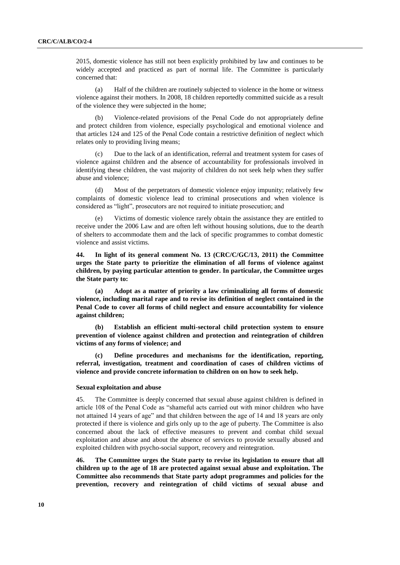2015, domestic violence has still not been explicitly prohibited by law and continues to be widely accepted and practiced as part of normal life. The Committee is particularly concerned that:

(a) Half of the children are routinely subjected to violence in the home or witness violence against their mothers. In 2008, 18 children reportedly committed suicide as a result of the violence they were subjected in the home;

(b) Violence-related provisions of the Penal Code do not appropriately define and protect children from violence, especially psychological and emotional violence and that articles 124 and 125 of the Penal Code contain a restrictive definition of neglect which relates only to providing living means;

(c) Due to the lack of an identification, referral and treatment system for cases of violence against children and the absence of accountability for professionals involved in identifying these children, the vast majority of children do not seek help when they suffer abuse and violence;

(d) Most of the perpetrators of domestic violence enjoy impunity; relatively few complaints of domestic violence lead to criminal prosecutions and when violence is considered as "light", prosecutors are not required to initiate prosecution; and

Victims of domestic violence rarely obtain the assistance they are entitled to receive under the 2006 Law and are often left without housing solutions, due to the dearth of shelters to accommodate them and the lack of specific programmes to combat domestic violence and assist victims.

**44. In light of its general comment No. 13 (CRC/C/GC/13, 2011) the Committee urges the State party to prioritize the elimination of all forms of violence against children, by paying particular attention to gender. In particular, the Committee urges the State party to:**

**(a) Adopt as a matter of priority a law criminalizing all forms of domestic violence, including marital rape and to revise its definition of neglect contained in the Penal Code to cover all forms of child neglect and ensure accountability for violence against children;**

**(b) Establish an efficient multi-sectoral child protection system to ensure prevention of violence against children and protection and reintegration of children victims of any forms of violence; and**

**(c) Define procedures and mechanisms for the identification, reporting, referral, investigation, treatment and coordination of cases of children victims of violence and provide concrete information to children on on how to seek help.**

## **Sexual exploitation and abuse**

45. The Committee is deeply concerned that sexual abuse against children is defined in article 108 of the Penal Code as "shameful acts carried out with minor children who have not attained 14 years of age" and that children between the age of 14 and 18 years are only protected if there is violence and girls only up to the age of puberty. The Committee is also concerned about the lack of effective measures to prevent and combat child sexual exploitation and abuse and about the absence of services to provide sexually abused and exploited children with psycho-social support, recovery and reintegration.

**46. The Committee urges the State party to revise its legislation to ensure that all children up to the age of 18 are protected against sexual abuse and exploitation. The Committee also recommends that State party adopt programmes and policies for the prevention, recovery and reintegration of child victims of sexual abuse and**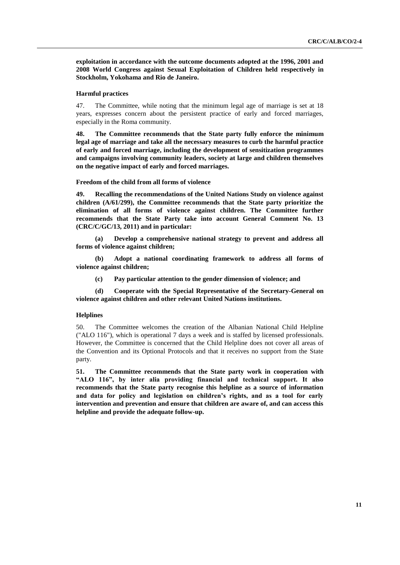**exploitation in accordance with the outcome documents adopted at the 1996, 2001 and 2008 World Congress against Sexual Exploitation of Children held respectively in Stockholm, Yokohama and Rio de Janeiro.** 

## **Harmful practices**

47. The Committee, while noting that the minimum legal age of marriage is set at 18 years, expresses concern about the persistent practice of early and forced marriages, especially in the Roma community.

**48. The Committee recommends that the State party fully enforce the minimum legal age of marriage and take all the necessary measures to curb the harmful practice of early and forced marriage, including the development of sensitization programmes and campaigns involving community leaders, society at large and children themselves on the negative impact of early and forced marriages.** 

**Freedom of the child from all forms of violence**

**49. Recalling the recommendations of the United Nations Study on violence against children (A/61/299), the Committee recommends that the State party prioritize the elimination of all forms of violence against children. The Committee further recommends that the State Party take into account General Comment No. 13 (CRC/C/GC/13, 2011) and in particular:**

**(a) Develop a comprehensive national strategy to prevent and address all forms of violence against children;**

**(b) Adopt a national coordinating framework to address all forms of violence against children;**

**(c) Pay particular attention to the gender dimension of violence; and**

**(d) Cooperate with the Special Representative of the Secretary-General on violence against children and other relevant United Nations institutions.**

## **Helplines**

50. The Committee welcomes the creation of the Albanian National Child Helpline ("ALO 116"), which is operational 7 days a week and is staffed by licensed professionals. However, the Committee is concerned that the Child Helpline does not cover all areas of the Convention and its Optional Protocols and that it receives no support from the State party.

**51. The Committee recommends that the State party work in cooperation with "ALO 116", by inter alia providing financial and technical support. It also recommends that the State party recognise this helpline as a source of information and data for policy and legislation on children"s rights, and as a tool for early intervention and prevention and ensure that children are aware of, and can access this helpline and provide the adequate follow-up.**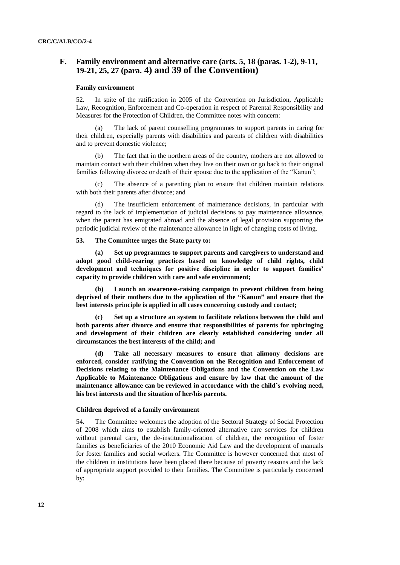# **F. Family environment and alternative care (arts. 5, 18 (paras. 1-2), 9-11, 19-21, 25, 27 (para. 4) and 39 of the Convention)**

# **Family environment**

52. In spite of the ratification in 2005 of the Convention on Jurisdiction, Applicable Law, Recognition, Enforcement and Co-operation in respect of Parental Responsibility and Measures for the Protection of Children, the Committee notes with concern:

(a) The lack of parent counselling programmes to support parents in caring for their children, especially parents with disabilities and parents of children with disabilities and to prevent domestic violence;

(b) The fact that in the northern areas of the country, mothers are not allowed to maintain contact with their children when they live on their own or go back to their original families following divorce or death of their spouse due to the application of the "Kanun";

(c) The absence of a parenting plan to ensure that children maintain relations with both their parents after divorce; and

(d) The insufficient enforcement of maintenance decisions, in particular with regard to the lack of implementation of judicial decisions to pay maintenance allowance, when the parent has emigrated abroad and the absence of legal provision supporting the periodic judicial review of the maintenance allowance in light of changing costs of living.

## **53. The Committee urges the State party to:**

**(a) Set up programmes to support parents and caregivers to understand and adopt good child-rearing practices based on knowledge of child rights, child development and techniques for positive discipline in order to support families" capacity to provide children with care and safe environment;**

**(b) Launch an awareness-raising campaign to prevent children from being deprived of their mothers due to the application of the "Kanun" and ensure that the best interests principle is applied in all cases concerning custody and contact;**

**(c) Set up a structure an system to facilitate relations between the child and both parents after divorce and ensure that responsibilities of parents for upbringing and development of their children are clearly established considering under all circumstances the best interests of the child; and**

**(d) Take all necessary measures to ensure that alimony decisions are enforced, consider ratifying the Convention on the Recognition and Enforcement of Decisions relating to the Maintenance Obligations and the Convention on the Law Applicable to Maintenance Obligations and ensure by law that the amount of the maintenance allowance can be reviewed in accordance with the child"s evolving need, his best interests and the situation of her/his parents.**

## **Children deprived of a family environment**

54. The Committee welcomes the adoption of the Sectoral Strategy of Social Protection of 2008 which aims to establish family-oriented alternative care services for children without parental care, the de-institutionalization of children, the recognition of foster families as beneficiaries of the 2010 Economic Aid Law and the development of manuals for foster families and social workers. The Committee is however concerned that most of the children in institutions have been placed there because of poverty reasons and the lack of appropriate support provided to their families. The Committee is particularly concerned by: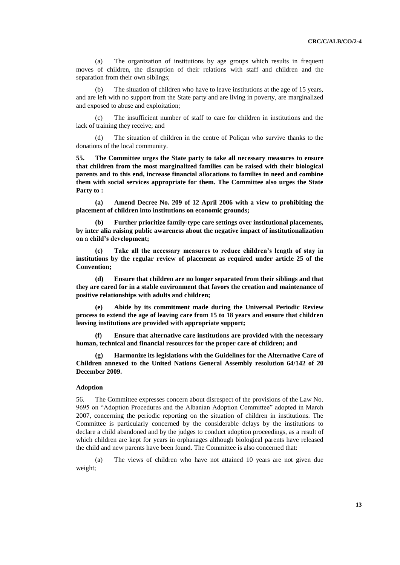(a) The organization of institutions by age groups which results in frequent moves of children, the disruption of their relations with staff and children and the separation from their own siblings;

(b) The situation of children who have to leave institutions at the age of 15 years, and are left with no support from the State party and are living in poverty, are marginalized and exposed to abuse and exploitation;

(c) The insufficient number of staff to care for children in institutions and the lack of training they receive; and

(d) The situation of children in the centre of Poliçan who survive thanks to the donations of the local community.

**55. The Committee urges the State party to take all necessary measures to ensure that children from the most marginalized families can be raised with their biological parents and to this end, increase financial allocations to families in need and combine them with social services appropriate for them. The Committee also urges the State Party to :**

**(a) Amend Decree No. 209 of 12 April 2006 with a view to prohibiting the placement of children into institutions on economic grounds;**

**(b) Further prioritize family-type care settings over institutional placements, by inter alia raising public awareness about the negative impact of institutionalization on a child"s development;** 

**(c) Take all the necessary measures to reduce children"s length of stay in institutions by the regular review of placement as required under article 25 of the Convention;**

**(d) Ensure that children are no longer separated from their siblings and that they are cared for in a stable environment that favors the creation and maintenance of positive relationships with adults and children;**

**(e) Abide by its commitment made during the Universal Periodic Review process to extend the age of leaving care from 15 to 18 years and ensure that children leaving institutions are provided with appropriate support;**

**(f) Ensure that alternative care institutions are provided with the necessary human, technical and financial resources for the proper care of children; and**

**(g) Harmonize its legislations with the Guidelines for the Alternative Care of Children annexed to the United Nations General Assembly resolution 64/142 of 20 December 2009.** 

## **Adoption**

56. The Committee expresses concern about disrespect of the provisions of the Law No. 9695 on "Adoption Procedures and the Albanian Adoption Committee" adopted in March 2007, concerning the periodic reporting on the situation of children in institutions. The Committee is particularly concerned by the considerable delays by the institutions to declare a child abandoned and by the judges to conduct adoption proceedings, as a result of which children are kept for years in orphanages although biological parents have released the child and new parents have been found. The Committee is also concerned that:

(a) The views of children who have not attained 10 years are not given due weight;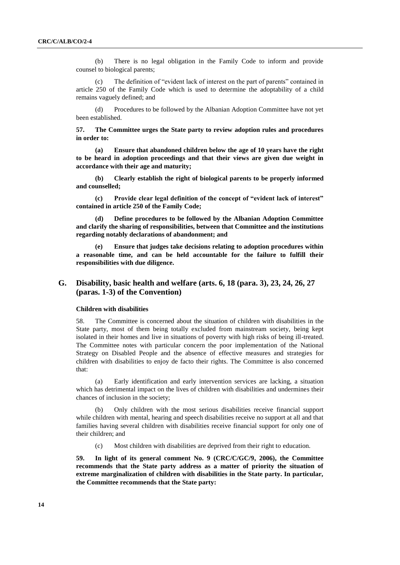(b) There is no legal obligation in the Family Code to inform and provide counsel to biological parents;

(c) The definition of "evident lack of interest on the part of parents" contained in article 250 of the Family Code which is used to determine the adoptability of a child remains vaguely defined; and

(d) Procedures to be followed by the Albanian Adoption Committee have not yet been established.

**57. The Committee urges the State party to review adoption rules and procedures in order to:**

**(a) Ensure that abandoned children below the age of 10 years have the right to be heard in adoption proceedings and that their views are given due weight in accordance with their age and maturity;**

**(b) Clearly establish the right of biological parents to be properly informed and counselled;**

**(c) Provide clear legal definition of the concept of "evident lack of interest" contained in article 250 of the Family Code;**

**(d) Define procedures to be followed by the Albanian Adoption Committee and clarify the sharing of responsibilities, between that Committee and the institutions regarding notably declarations of abandonment; and**

**(e) Ensure that judges take decisions relating to adoption procedures within a reasonable time, and can be held accountable for the failure to fulfill their responsibilities with due diligence.**

# **G. Disability, basic health and welfare (arts. 6, 18 (para. 3), 23, 24, 26, 27 (paras. 1-3) of the Convention)**

#### **Children with disabilities**

58. The Committee is concerned about the situation of children with disabilities in the State party, most of them being totally excluded from mainstream society, being kept isolated in their homes and live in situations of poverty with high risks of being ill-treated. The Committee notes with particular concern the poor implementation of the National Strategy on Disabled People and the absence of effective measures and strategies for children with disabilities to enjoy de facto their rights. The Committee is also concerned that:

(a) Early identification and early intervention services are lacking, a situation which has detrimental impact on the lives of children with disabilities and undermines their chances of inclusion in the society;

(b) Only children with the most serious disabilities receive financial support while children with mental, hearing and speech disabilities receive no support at all and that families having several children with disabilities receive financial support for only one of their children; and

(c) Most children with disabilities are deprived from their right to education.

**59. In light of its general comment No. 9 (CRC/C/GC/9, 2006), the Committee recommends that the State party address as a matter of priority the situation of extreme marginalization of children with disabilities in the State party. In particular, the Committee recommends that the State party:**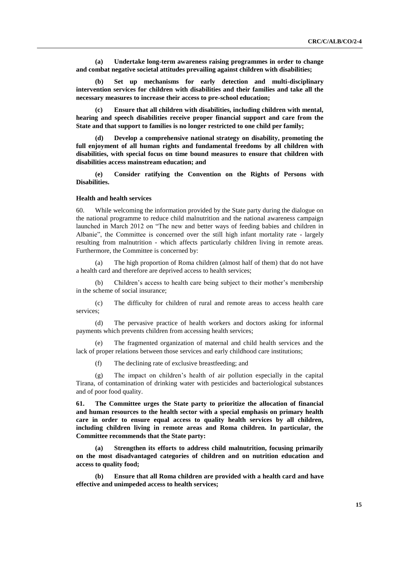**(a) Undertake long-term awareness raising programmes in order to change and combat negative societal attitudes prevailing against children with disabilities;**

**(b) Set up mechanisms for early detection and multi-disciplinary intervention services for children with disabilities and their families and take all the necessary measures to increase their access to pre-school education;**

**(c) Ensure that all children with disabilities, including children with mental, hearing and speech disabilities receive proper financial support and care from the State and that support to families is no longer restricted to one child per family;** 

**(d) Develop a comprehensive national strategy on disability, promoting the full enjoyment of all human rights and fundamental freedoms by all children with disabilities, with special focus on time bound measures to ensure that children with disabilities access mainstream education; and**

**(e) Consider ratifying the Convention on the Rights of Persons with Disabilities.**

## **Health and health services**

60. While welcoming the information provided by the State party during the dialogue on the national programme to reduce child malnutrition and the national awareness campaign launched in March 2012 on "The new and better ways of feeding babies and children in Albanie", the Committee is concerned over the still high infant mortality rate - largely resulting from malnutrition - which affects particularly children living in remote areas. Furthermore, the Committee is concerned by:

(a) The high proportion of Roma children (almost half of them) that do not have a health card and therefore are deprived access to health services;

(b) Children"s access to health care being subject to their mother"s membership in the scheme of social insurance;

(c) The difficulty for children of rural and remote areas to access health care services;

(d) The pervasive practice of health workers and doctors asking for informal payments which prevents children from accessing health services;

(e) The fragmented organization of maternal and child health services and the lack of proper relations between those services and early childhood care institutions;

(f) The declining rate of exclusive breastfeeding; and

(g) The impact on children"s health of air pollution especially in the capital Tirana, of contamination of drinking water with pesticides and bacteriological substances and of poor food quality.

**61. The Committee urges the State party to prioritize the allocation of financial and human resources to the health sector with a special emphasis on primary health care in order to ensure equal access to quality health services by all children, including children living in remote areas and Roma children. In particular, the Committee recommends that the State party:**

**(a) Strengthen its efforts to address child malnutrition, focusing primarily on the most disadvantaged categories of children and on nutrition education and access to quality food;**

**(b) Ensure that all Roma children are provided with a health card and have effective and unimpeded access to health services;**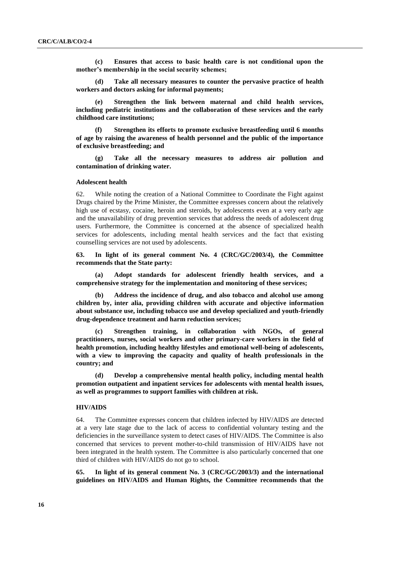**(c) Ensures that access to basic health care is not conditional upon the mother"s membership in the social security schemes;** 

**(d) Take all necessary measures to counter the pervasive practice of health workers and doctors asking for informal payments;** 

**(e) Strengthen the link between maternal and child health services, including pediatric institutions and the collaboration of these services and the early childhood care institutions;** 

**(f) Strengthen its efforts to promote exclusive breastfeeding until 6 months of age by raising the awareness of health personnel and the public of the importance of exclusive breastfeeding; and**

**(g) Take all the necessary measures to address air pollution and contamination of drinking water.**

#### **Adolescent health**

62. While noting the creation of a National Committee to Coordinate the Fight against Drugs chaired by the Prime Minister, the Committee expresses concern about the relatively high use of ecstasy, cocaine, heroin and steroids, by adolescents even at a very early age and the unavailability of drug prevention services that address the needs of adolescent drug users. Furthermore, the Committee is concerned at the absence of specialized health services for adolescents, including mental health services and the fact that existing counselling services are not used by adolescents.

**63. In light of its general comment No. 4 (CRC/GC/2003/4), the Committee recommends that the State party:**

**(a) Adopt standards for adolescent friendly health services, and a comprehensive strategy for the implementation and monitoring of these services;**

**(b) Address the incidence of drug, and also tobacco and alcohol use among children by, inter alia, providing children with accurate and objective information about substance use, including tobacco use and develop specialized and youth-friendly drug-dependence treatment and harm reduction services;** 

**(c) Strengthen training, in collaboration with NGOs, of general practitioners, nurses, social workers and other primary-care workers in the field of health promotion, including healthy lifestyles and emotional well-being of adolescents, with a view to improving the capacity and quality of health professionals in the country; and**

**(d) Develop a comprehensive mental health policy, including mental health promotion outpatient and inpatient services for adolescents with mental health issues, as well as programmes to support families with children at risk.**

## **HIV/AIDS**

64. The Committee expresses concern that children infected by HIV/AIDS are detected at a very late stage due to the lack of access to confidential voluntary testing and the deficiencies in the surveillance system to detect cases of HIV/AIDS. The Committee is also concerned that services to prevent mother-to-child transmission of HIV/AIDS have not been integrated in the health system. The Committee is also particularly concerned that one third of children with HIV/AIDS do not go to school.

**65. In light of its general comment No. 3 (CRC/GC/2003/3) and the international guidelines on HIV/AIDS and Human Rights, the Committee recommends that the**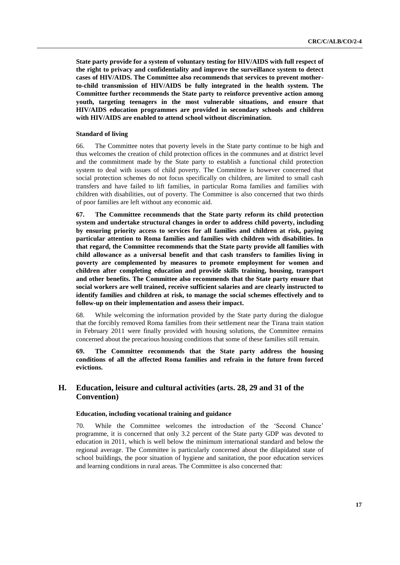**State party provide for a system of voluntary testing for HIV/AIDS with full respect of the right to privacy and confidentiality and improve the surveillance system to detect cases of HIV/AIDS. The Committee also recommends that services to prevent motherto-child transmission of HIV/AIDS be fully integrated in the health system. The Committee further recommends the State party to reinforce preventive action among youth, targeting teenagers in the most vulnerable situations, and ensure that HIV/AIDS education programmes are provided in secondary schools and children with HIV/AIDS are enabled to attend school without discrimination.**

# **Standard of living**

66. The Committee notes that poverty levels in the State party continue to be high and thus welcomes the creation of child protection offices in the communes and at district level and the commitment made by the State party to establish a functional child protection system to deal with issues of child poverty. The Committee is however concerned that social protection schemes do not focus specifically on children, are limited to small cash transfers and have failed to lift families, in particular Roma families and families with children with disabilities, out of poverty. The Committee is also concerned that two thirds of poor families are left without any economic aid.

**67. The Committee recommends that the State party reform its child protection system and undertake structural changes in order to address child poverty, including by ensuring priority access to services for all families and children at risk, paying particular attention to Roma families and families with children with disabilities. In that regard, the Committee recommends that the State party provide all families with child allowance as a universal benefit and that cash transfers to families living in poverty are complemented by measures to promote employment for women and children after completing education and provide skills training, housing, transport and other benefits. The Committee also recommends that the State party ensure that social workers are well trained, receive sufficient salaries and are clearly instructed to identify families and children at risk, to manage the social schemes effectively and to follow-up on their implementation and assess their impact.**

68. While welcoming the information provided by the State party during the dialogue that the forcibly removed Roma families from their settlement near the Tirana train station in February 2011 were finally provided with housing solutions, the Committee remains concerned about the precarious housing conditions that some of these families still remain.

**69. The Committee recommends that the State party address the housing conditions of all the affected Roma families and refrain in the future from forced evictions.**

# **H. Education, leisure and cultural activities (arts. 28, 29 and 31 of the Convention)**

## **Education, including vocational training and guidance**

70. While the Committee welcomes the introduction of the "Second Chance" programme, it is concerned that only 3.2 percent of the State party GDP was devoted to education in 2011, which is well below the minimum international standard and below the regional average. The Committee is particularly concerned about the dilapidated state of school buildings, the poor situation of hygiene and sanitation, the poor education services and learning conditions in rural areas. The Committee is also concerned that: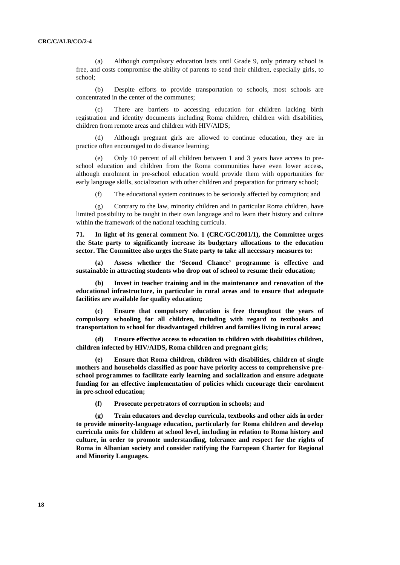(a) Although compulsory education lasts until Grade 9, only primary school is free, and costs compromise the ability of parents to send their children, especially girls, to school;

(b) Despite efforts to provide transportation to schools, most schools are concentrated in the center of the communes;

(c) There are barriers to accessing education for children lacking birth registration and identity documents including Roma children, children with disabilities, children from remote areas and children with HIV/AIDS;

(d) Although pregnant girls are allowed to continue education, they are in practice often encouraged to do distance learning;

Only 10 percent of all children between 1 and 3 years have access to preschool education and children from the Roma communities have even lower access, although enrolment in pre-school education would provide them with opportunities for early language skills, socialization with other children and preparation for primary school;

(f) The educational system continues to be seriously affected by corruption; and

(g) Contrary to the law, minority children and in particular Roma children, have limited possibility to be taught in their own language and to learn their history and culture within the framework of the national teaching curricula.

**71. In light of its general comment No. 1 (CRC/GC/2001/1), the Committee urges the State party to significantly increase its budgetary allocations to the education sector. The Committee also urges the State party to take all necessary measures to:**

**(a) Assess whether the "Second Chance" programme is effective and sustainable in attracting students who drop out of school to resume their education;**

**(b) Invest in teacher training and in the maintenance and renovation of the educational infrastructure, in particular in rural areas and to ensure that adequate facilities are available for quality education;**

**(c) Ensure that compulsory education is free throughout the years of compulsory schooling for all children, including with regard to textbooks and transportation to school for disadvantaged children and families living in rural areas;** 

**(d) Ensure effective access to education to children with disabilities children, children infected by HIV/AIDS, Roma children and pregnant girls;**

**(e) Ensure that Roma children, children with disabilities, children of single mothers and households classified as poor have priority access to comprehensive preschool programmes to facilitate early learning and socialization and ensure adequate funding for an effective implementation of policies which encourage their enrolment in pre-school education;**

**(f) Prosecute perpetrators of corruption in schools; and**

**(g) Train educators and develop curricula, textbooks and other aids in order to provide minority-language education, particularly for Roma children and develop curricula units for children at school level, including in relation to Roma history and culture, in order to promote understanding, tolerance and respect for the rights of Roma in Albanian society and consider ratifying the European Charter for Regional and Minority Languages.**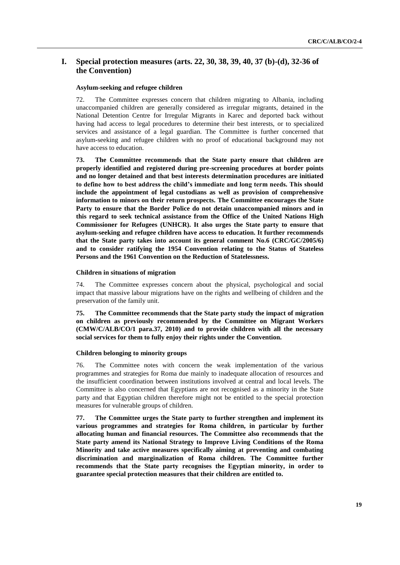# **I. Special protection measures (arts. 22, 30, 38, 39, 40, 37 (b)-(d), 32-36 of the Convention)**

# **Asylum-seeking and refugee children**

72. The Committee expresses concern that children migrating to Albania, including unaccompanied children are generally considered as irregular migrants, detained in the National Detention Centre for Irregular Migrants in Karec and deported back without having had access to legal procedures to determine their best interests, or to specialized services and assistance of a legal guardian. The Committee is further concerned that asylum-seeking and refugee children with no proof of educational background may not have access to education.

**73. The Committee recommends that the State party ensure that children are properly identified and registered during pre-screening procedures at border points and no longer detained and that best interests determination procedures are initiated to define how to best address the child"s immediate and long term needs. This should include the appointment of legal custodians as well as provision of comprehensive information to minors on their return prospects. The Committee encourages the State**  Party to ensure that the Border Police do not detain unaccompanied minors and in **this regard to seek technical assistance from the Office of the United Nations High Commissioner for Refugees (UNHCR). It also urges the State party to ensure that asylum-seeking and refugee children have access to education. It further recommends that the State party takes into account its general comment No.6 (CRC/GC/2005/6) and to consider ratifying the 1954 Convention relating to the Status of Stateless Persons and the 1961 Convention on the Reduction of Statelessness.** 

#### **Children in situations of migration**

74. The Committee expresses concern about the physical, psychological and social impact that massive labour migrations have on the rights and wellbeing of children and the preservation of the family unit.

**75. The Committee recommends that the State party study the impact of migration on children as previously recommended by the Committee on Migrant Workers (CMW/C/ALB/CO/1 para.37, 2010) and to provide children with all the necessary social services for them to fully enjoy their rights under the Convention.** 

## **Children belonging to minority groups**

76. The Committee notes with concern the weak implementation of the various programmes and strategies for Roma due mainly to inadequate allocation of resources and the insufficient coordination between institutions involved at central and local levels. The Committee is also concerned that Egyptians are not recognised as a minority in the State party and that Egyptian children therefore might not be entitled to the special protection measures for vulnerable groups of children.

**77. The Committee urges the State party to further strengthen and implement its various programmes and strategies for Roma children, in particular by further allocating human and financial resources. The Committee also recommends that the State party amend its National Strategy to Improve Living Conditions of the Roma Minority and take active measures specifically aiming at preventing and combating discrimination and marginalization of Roma children. The Committee further recommends that the State party recognises the Egyptian minority, in order to guarantee special protection measures that their children are entitled to.**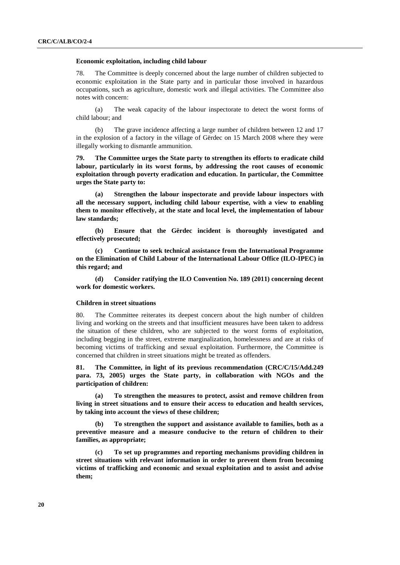## **Economic exploitation, including child labour**

78. The Committee is deeply concerned about the large number of children subjected to economic exploitation in the State party and in particular those involved in hazardous occupations, such as agriculture, domestic work and illegal activities. The Committee also notes with concern:

(a) The weak capacity of the labour inspectorate to detect the worst forms of child labour; and

(b) The grave incidence affecting a large number of children between 12 and 17 in the explosion of a factory in the village of Gërdec on 15 March 2008 where they were illegally working to dismantle ammunition.

**79. The Committee urges the State party to strengthen its efforts to eradicate child labour, particularly in its worst forms, by addressing the root causes of economic exploitation through poverty eradication and education. In particular, the Committee urges the State party to:**

**(a) Strengthen the labour inspectorate and provide labour inspectors with all the necessary support, including child labour expertise, with a view to enabling them to monitor effectively, at the state and local level, the implementation of labour law standards;**

**(b) Ensure that the Gërdec incident is thoroughly investigated and effectively prosecuted;** 

**(c) Continue to seek technical assistance from the International Programme on the Elimination of Child Labour of the International Labour Office (ILO-IPEC) in this regard; and**

**(d) Consider ratifying the ILO Convention No. 189 (2011) concerning decent work for domestic workers.**

#### **Children in street situations**

80. The Committee reiterates its deepest concern about the high number of children living and working on the streets and that insufficient measures have been taken to address the situation of these children, who are subjected to the worst forms of exploitation, including begging in the street, extreme marginalization, homelessness and are at risks of becoming victims of trafficking and sexual exploitation. Furthermore, the Committee is concerned that children in street situations might be treated as offenders.

**81. The Committee, in light of its previous recommendation (CRC/C/15/Add.249 para. 73, 2005) urges the State party, in collaboration with NGOs and the participation of children:**

**(a) To strengthen the measures to protect, assist and remove children from living in street situations and to ensure their access to education and health services, by taking into account the views of these children;**

**(b) To strengthen the support and assistance available to families, both as a preventive measure and a measure conducive to the return of children to their families, as appropriate;**

**(c) To set up programmes and reporting mechanisms providing children in street situations with relevant information in order to prevent them from becoming victims of trafficking and economic and sexual exploitation and to assist and advise them;**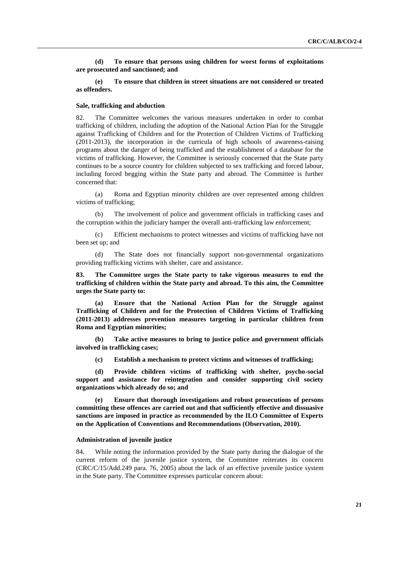**(d) To ensure that persons using children for worst forms of exploitations are prosecuted and sanctioned; and**

**(e) To ensure that children in street situations are not considered or treated as offenders.**

## **Sale, trafficking and abduction**

82. The Committee welcomes the various measures undertaken in order to combat trafficking of children, including the adoption of the National Action Plan for the Struggle against Trafficking of Children and for the Protection of Children Victims of Trafficking (2011-2013), the incorporation in the curricula of high schools of awareness-raising programs about the danger of being trafficked and the establishment of a database for the victims of trafficking. However, the Committee is seriously concerned that the State party continues to be a source country for children subjected to sex trafficking and forced labour, including forced begging within the State party and abroad. The Committee is further concerned that:

(a) Roma and Egyptian minority children are over represented among children victims of trafficking;

(b) The involvement of police and government officials in trafficking cases and the corruption within the judiciary hamper the overall anti-trafficking law enforcement;

(c) Efficient mechanisms to protect witnesses and victims of trafficking have not been set up; and

(d) The State does not financially support non-governmental organizations providing trafficking victims with shelter, care and assistance.

**83. The Committee urges the State party to take vigorous measures to end the trafficking of children within the State party and abroad. To this aim, the Committee urges the State party to:**

**(a) Ensure that the National Action Plan for the Struggle against Trafficking of Children and for the Protection of Children Victims of Trafficking (2011-2013) addresses prevention measures targeting in particular children from Roma and Egyptian minorities;**

**(b) Take active measures to bring to justice police and government officials involved in trafficking cases;**

**(c) Establish a mechanism to protect victims and witnesses of trafficking;** 

**(d) Provide children victims of trafficking with shelter, psycho-social support and assistance for reintegration and consider supporting civil society organizations which already do so; and**

**(e) Ensure that thorough investigations and robust prosecutions of persons committing these offences are carried out and that sufficiently effective and dissuasive sanctions are imposed in practice as recommended by the ILO Committee of Experts on the Application of Conventions and Recommendations (Observation, 2010).**

#### **Administration of juvenile justice**

84. While noting the information provided by the State party during the dialogue of the current reform of the juvenile justice system, the Committee reiterates its concern (CRC/C/15/Add.249 para. 76, 2005) about the lack of an effective juvenile justice system in the State party. The Committee expresses particular concern about: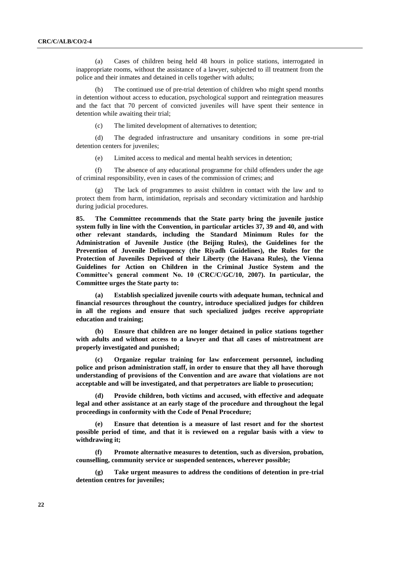(a) Cases of children being held 48 hours in police stations, interrogated in inappropriate rooms, without the assistance of a lawyer, subjected to ill treatment from the police and their inmates and detained in cells together with adults;

The continued use of pre-trial detention of children who might spend months in detention without access to education, psychological support and reintegration measures and the fact that 70 percent of convicted juveniles will have spent their sentence in detention while awaiting their trial;

(c) The limited development of alternatives to detention;

(d) The degraded infrastructure and unsanitary conditions in some pre-trial detention centers for juveniles;

(e) Limited access to medical and mental health services in detention;

(f) The absence of any educational programme for child offenders under the age of criminal responsibility, even in cases of the commission of crimes; and

The lack of programmes to assist children in contact with the law and to protect them from harm, intimidation, reprisals and secondary victimization and hardship during judicial procedures.

**85. The Committee recommends that the State party bring the juvenile justice system fully in line with the Convention, in particular articles 37, 39 and 40, and with other relevant standards, including the Standard Minimum Rules for the Administration of Juvenile Justice (the Beijing Rules), the Guidelines for the Prevention of Juvenile Delinquency (the Riyadh Guidelines), the Rules for the Protection of Juveniles Deprived of their Liberty (the Havana Rules), the Vienna Guidelines for Action on Children in the Criminal Justice System and the Committee"s general comment No. 10 (CRC/C/GC/10, 2007). In particular, the Committee urges the State party to:**

**(a) Establish specialized juvenile courts with adequate human, technical and financial resources throughout the country, introduce specialized judges for children in all the regions and ensure that such specialized judges receive appropriate education and training;**

**(b) Ensure that children are no longer detained in police stations together with adults and without access to a lawyer and that all cases of mistreatment are properly investigated and punished;**

**(c) Organize regular training for law enforcement personnel, including police and prison administration staff, in order to ensure that they all have thorough understanding of provisions of the Convention and are aware that violations are not acceptable and will be investigated, and that perpetrators are liable to prosecution;**

**(d) Provide children, both victims and accused, with effective and adequate legal and other assistance at an early stage of the procedure and throughout the legal proceedings in conformity with the Code of Penal Procedure;**

**(e) Ensure that detention is a measure of last resort and for the shortest possible period of time, and that it is reviewed on a regular basis with a view to withdrawing it;**

**(f) Promote alternative measures to detention, such as diversion, probation, counselling, community service or suspended sentences, wherever possible;**

**(g) Take urgent measures to address the conditions of detention in pre-trial detention centres for juveniles;**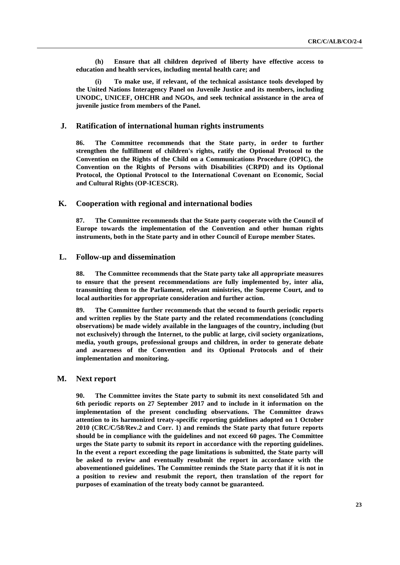**(h) Ensure that all children deprived of liberty have effective access to education and health services, including mental health care; and**

**(i) To make use, if relevant, of the technical assistance tools developed by the United Nations Interagency Panel on Juvenile Justice and its members, including UNODC, UNICEF, OHCHR and NGOs, and seek technical assistance in the area of juvenile justice from members of the Panel.** 

# **J. Ratification of international human rights instruments**

**86. The Committee recommends that the State party, in order to further strengthen the fulfillment of children's rights, ratify the Optional Protocol to the Convention on the Rights of the Child on a Communications Procedure (OPIC), the Convention on the Rights of Persons with Disabilities (CRPD) and its Optional Protocol, the Optional Protocol to the International Covenant on Economic, Social and Cultural Rights (OP-ICESCR).**

# **K. Cooperation with regional and international bodies**

**87. The Committee recommends that the State party cooperate with the Council of Europe towards the implementation of the Convention and other human rights instruments, both in the State party and in other Council of Europe member States.**

# **L. Follow-up and dissemination**

**88. The Committee recommends that the State party take all appropriate measures to ensure that the present recommendations are fully implemented by, inter alia, transmitting them to the Parliament, relevant ministries, the Supreme Court, and to local authorities for appropriate consideration and further action.**

**89. The Committee further recommends that the second to fourth periodic reports and written replies by the State party and the related recommendations (concluding observations) be made widely available in the languages of the country, including (but not exclusively) through the Internet, to the public at large, civil society organizations, media, youth groups, professional groups and children, in order to generate debate and awareness of the Convention and its Optional Protocols and of their implementation and monitoring.**

# **M. Next report**

**90. The Committee invites the State party to submit its next consolidated 5th and 6th periodic reports on 27 September 2017 and to include in it information on the implementation of the present concluding observations. The Committee draws attention to its harmonized treaty-specific reporting guidelines adopted on 1 October 2010 (CRC/C/58/Rev.2 and Corr. 1) and reminds the State party that future reports should be in compliance with the guidelines and not exceed 60 pages. The Committee urges the State party to submit its report in accordance with the reporting guidelines. In the event a report exceeding the page limitations is submitted, the State party will be asked to review and eventually resubmit the report in accordance with the abovementioned guidelines. The Committee reminds the State party that if it is not in a position to review and resubmit the report, then translation of the report for purposes of examination of the treaty body cannot be guaranteed.**